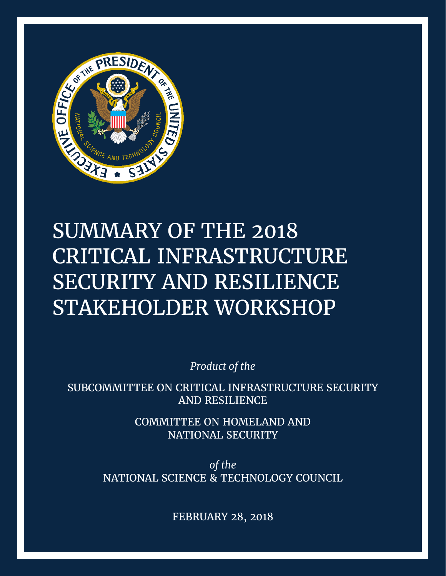

# SUMMARY OF THE 2018 CRITICAL INFRASTRUCTURE SECURITY AND RESILIENCE STAKEHOLDER WORKSHOP

*Product of the*

SUBCOMMITTEE ON CRITICAL INFRASTRUCTURE SECURITY AND RESILIENCE

> COMMITTEE ON HOMELAND AND NATIONAL SECURITY

*of the* NATIONAL SCIENCE & TECHNOLOGY COUNCIL

FEBRUARY 28, 2018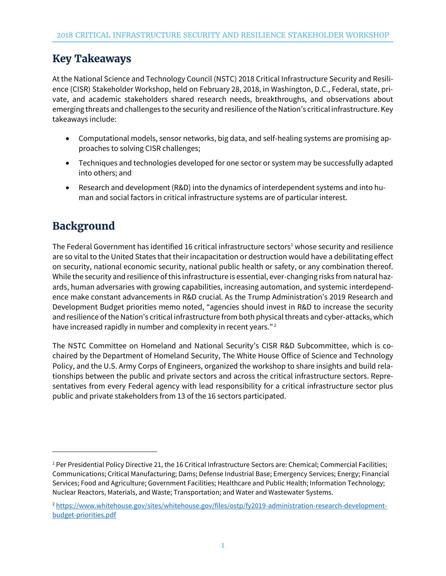# **Key Takeaways**

At the National Science and Technology Council (NSTC) 2018 Critical Infrastructure Security and Resilience (CISR) Stakeholder Workshop, held on February 28, 2018, in Washington, D.C., Federal, state, private, and academic stakeholders shared research needs, breakthroughs, and observations about emerging threats and challenges to the security and resilience of the Nation's critical infrastructure. Key takeaways include:

- Computational models, sensor networks, big data, and self-healing systems are promising approaches to solving CISR challenges;
- Techniques and technologies developed for one sector or system may be successfully adapted into others; and
- Research and development (R&D) into the dynamics of interdependent systems and into human and social factors in critical infrastructure systems are of particular interest.

# **Background**

l

The Federal Government has identified 16 critical infrastructure sectors<sup>1</sup> whose security and resilience are so vital to the United States that their incapacitation or destruction would have a debilitating effect on security, national economic security, national public health or safety, or any combination thereof. While the security and resilience of this infrastructure is essential, ever-changing risks from natural hazards, human adversaries with growing capabilities, increasing automation, and systemic interdependence make constant advancements in R&D crucial. As the Trump Administration's 2019 Research and Development Budget priorities memo noted, "agencies should invest in R&D to increase the security and resilience of the Nation's critical infrastructure from both physical threats and cyber-attacks, which have increased rapidly in number and complexity in recent years."<sup>2</sup>

The NSTC Committee on Homeland and National Security's CISR R&D Subcommittee, which is cochaired by the Department of Homeland Security, The White House Office of Science and Technology Policy, and the U.S. Army Corps of Engineers, organized the workshop to share insights and build relationships between the public and private sectors and across the critical infrastructure sectors. Representatives from every Federal agency with lead responsibility for a critical infrastructure sector plus public and private stakeholders from 13 of the 16 sectors participated.

<sup>&</sup>lt;sup>1</sup> Per Presidential Policy Directive 21, the 16 Critical Infrastructure Sectors are: Chemical; Commercial Facilities; Communications; Critical Manufacturing; Dams; Defense Industrial Base; Emergency Services; Energy; Financial Services; Food and Agriculture; Government Facilities; Healthcare and Public Health; Information Technology; Nuclear Reactors, Materials, and Waste; Transportation; and Water and Wastewater Systems.

<sup>2</sup> [https://www.whitehouse.gov/sites/whitehouse.gov/files/ostp/fy2019-administration-research-development](https://www.whitehouse.gov/sites/whitehouse.gov/files/ostp/fy2019-administration-research-development-budget-priorities.pdf)[budget-priorities.pdf](https://www.whitehouse.gov/sites/whitehouse.gov/files/ostp/fy2019-administration-research-development-budget-priorities.pdf)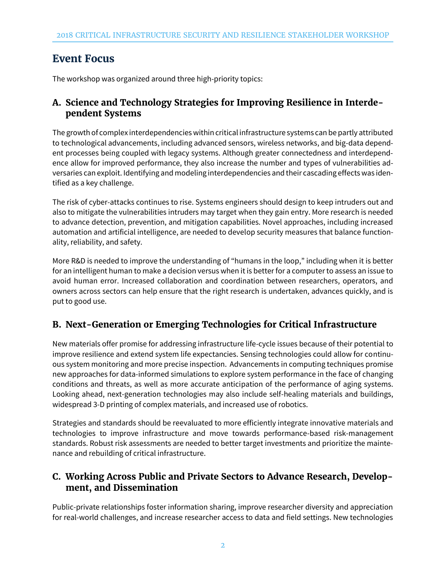## **Event Focus**

The workshop was organized around three high-priority topics:

#### **A. Science and Technology Strategies for Improving Resilience in Interdependent Systems**

The growth of complex interdependencies within critical infrastructure systems can be partly attributed to technological advancements, including advanced sensors, wireless networks, and big-data dependent processes being coupled with legacy systems. Although greater connectedness and interdependence allow for improved performance, they also increase the number and types of vulnerabilities adversaries can exploit. Identifying and modeling interdependencies and their cascading effects was identified as a key challenge.

The risk of cyber-attacks continues to rise. Systems engineers should design to keep intruders out and also to mitigate the vulnerabilities intruders may target when they gain entry. More research is needed to advance detection, prevention, and mitigation capabilities. Novel approaches, including increased automation and artificial intelligence, are needed to develop security measures that balance functionality, reliability, and safety.

More R&D is needed to improve the understanding of "humans in the loop," including when it is better for an intelligent human to make a decision versus when it is better for a computer to assess an issue to avoid human error. Increased collaboration and coordination between researchers, operators, and owners across sectors can help ensure that the right research is undertaken, advances quickly, and is put to good use.

## **B. Next-Generation or Emerging Technologies for Critical Infrastructure**

New materials offer promise for addressing infrastructure life-cycle issues because of their potential to improve resilience and extend system life expectancies. Sensing technologies could allow for continuous system monitoring and more precise inspection. Advancements in computing techniques promise new approaches for data-informed simulations to explore system performance in the face of changing conditions and threats, as well as more accurate anticipation of the performance of aging systems. Looking ahead, next-generation technologies may also include self-healing materials and buildings, widespread 3-D printing of complex materials, and increased use of robotics.

Strategies and standards should be reevaluated to more efficiently integrate innovative materials and technologies to improve infrastructure and move towards performance-based risk-management standards. Robust risk assessments are needed to better target investments and prioritize the maintenance and rebuilding of critical infrastructure.

#### **C. Working Across Public and Private Sectors to Advance Research, Development, and Dissemination**

Public-private relationships foster information sharing, improve researcher diversity and appreciation for real-world challenges, and increase researcher access to data and field settings. New technologies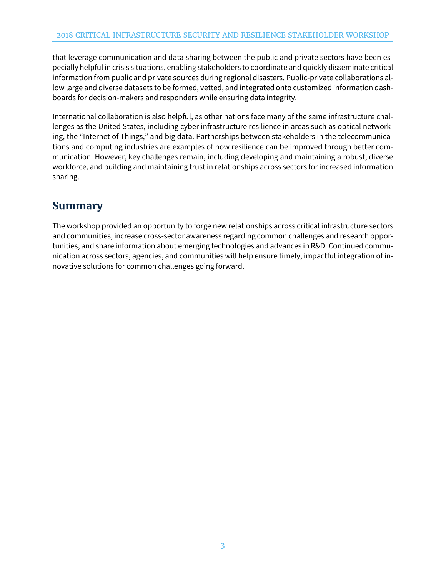that leverage communication and data sharing between the public and private sectors have been especially helpful in crisis situations, enabling stakeholders to coordinate and quickly disseminate critical information from public and private sources during regional disasters. Public-private collaborations allow large and diverse datasets to be formed, vetted, and integrated onto customized information dashboards for decision-makers and responders while ensuring data integrity.

International collaboration is also helpful, as other nations face many of the same infrastructure challenges as the United States, including cyber infrastructure resilience in areas such as optical networking, the "Internet of Things," and big data. Partnerships between stakeholders in the telecommunications and computing industries are examples of how resilience can be improved through better communication. However, key challenges remain, including developing and maintaining a robust, diverse workforce, and building and maintaining trust in relationships across sectors for increased information sharing.

# **Summary**

The workshop provided an opportunity to forge new relationships across critical infrastructure sectors and communities, increase cross-sector awareness regarding common challenges and research opportunities, and share information about emerging technologies and advances in R&D. Continued communication across sectors, agencies, and communities will help ensure timely, impactful integration of innovative solutions for common challenges going forward.